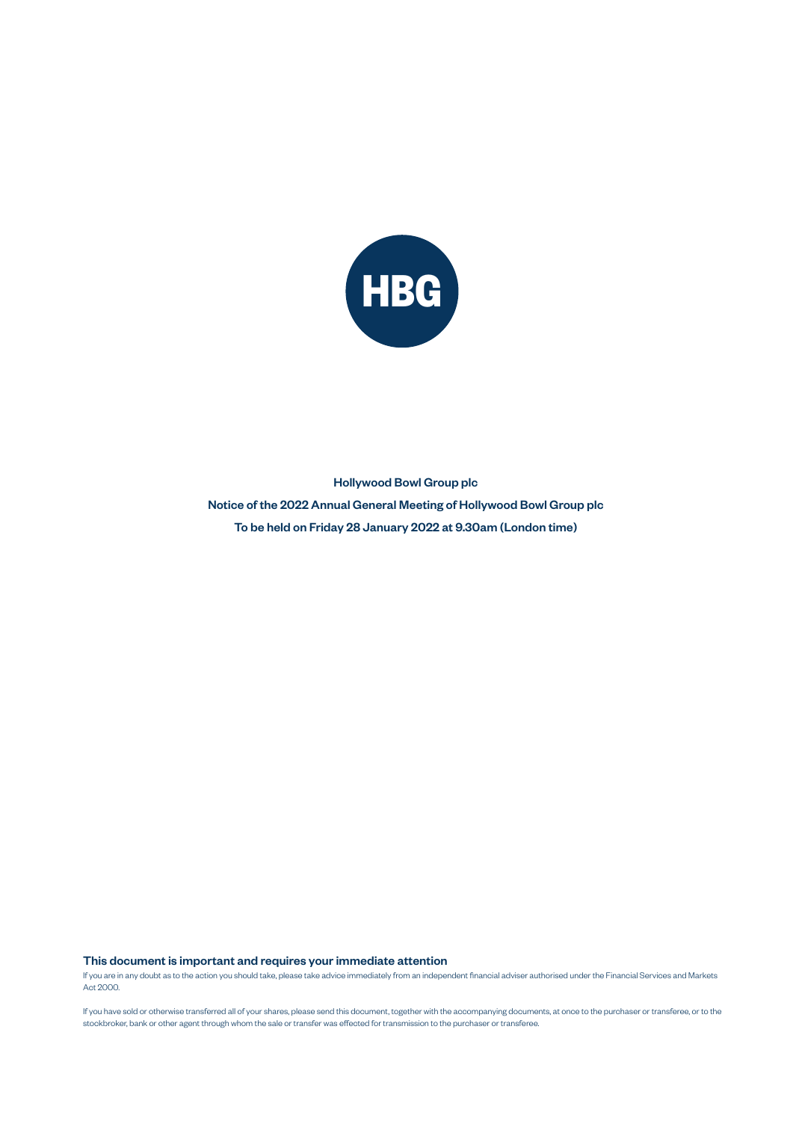

## Hollywood Bowl Group plc Notice of the 2022 Annual General Meeting of Hollywood Bowl Group plc To be held on Friday 28 January 2022 at 9.30am (London time)

This document is important and requires your immediate attention

If you are in any doubt as to the action you should take, please take advice immediately from an independent financial adviser authorised under the Financial Services and Markets Act 2000.

If you have sold or otherwise transferred all of your shares, please send this document, together with the accompanying documents, at once to the purchaser or transferee, or to the stockbroker, bank or other agent through whom the sale or transfer was effected for transmission to the purchaser or transferee.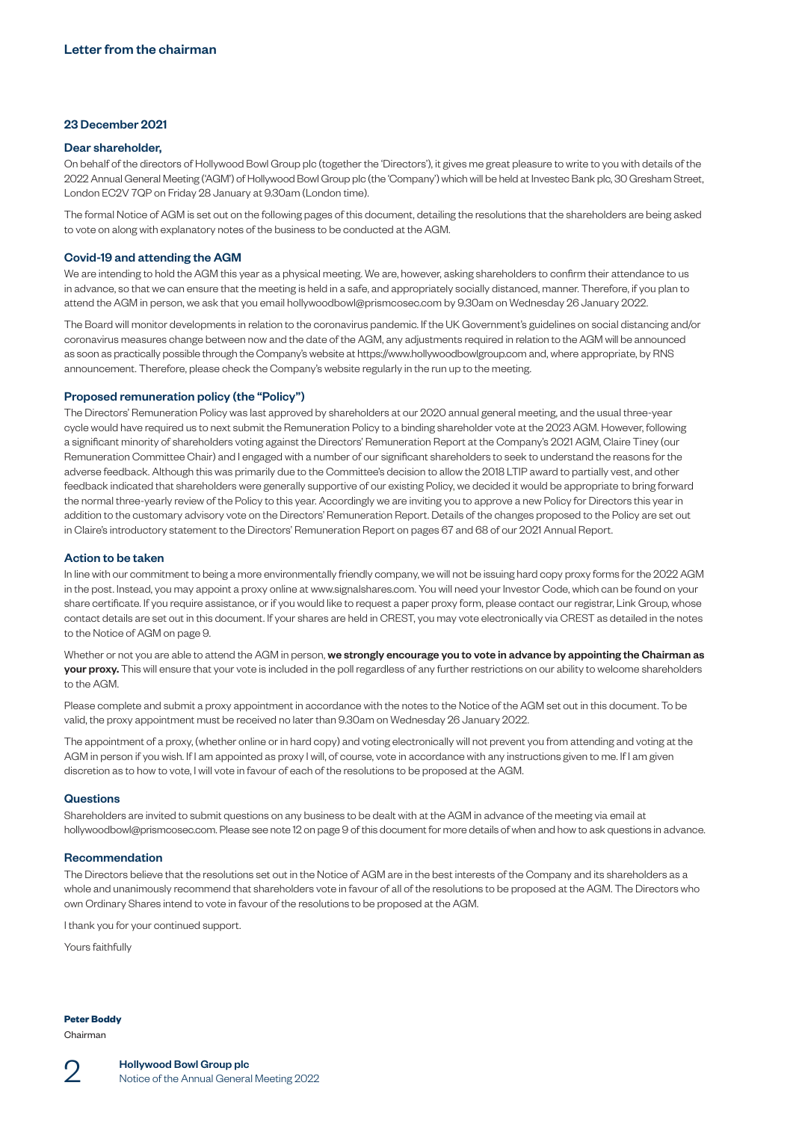### 23 December 2021

#### Dear shareholder,

On behalf of the directors of Hollywood Bowl Group plc (together the 'Directors'), it gives me great pleasure to write to you with details of the 2022 Annual General Meeting ('AGM') of Hollywood Bowl Group plc (the 'Company') which will be held at Investec Bank plc, 30 Gresham Street, London EC2V 7QP on Friday 28 January at 9.30am (London time).

The formal Notice of AGM is set out on the following pages of this document, detailing the resolutions that the shareholders are being asked to vote on along with explanatory notes of the business to be conducted at the AGM.

#### Covid-19 and attending the AGM

We are intending to hold the AGM this year as a physical meeting. We are, however, asking shareholders to confirm their attendance to us in advance, so that we can ensure that the meeting is held in a safe, and appropriately socially distanced, manner. Therefore, if you plan to attend the AGM in person, we ask that you email [hollywoodbowl@prismcosec.com](mailto:hollywoodbowl@prismcosec.com) by 9.30am on Wednesday 26 January 2022.

The Board will monitor developments in relation to the coronavirus pandemic. If the UK Government's guidelines on social distancing and/or coronavirus measures change between now and the date of the AGM, any adjustments required in relation to the AGM will be announced as soon as practically possible through the Company's website at<https://www.hollywoodbowlgroup.com>and, where appropriate, by RNS announcement. Therefore, please check the Company's website regularly in the run up to the meeting.

### Proposed remuneration policy (the "Policy")

The Directors' Remuneration Policy was last approved by shareholders at our 2020 annual general meeting, and the usual three-year cycle would have required us to next submit the Remuneration Policy to a binding shareholder vote at the 2023 AGM. However, following a significant minority of shareholders voting against the Directors' Remuneration Report at the Company's 2021 AGM, Claire Tiney (our Remuneration Committee Chair) and I engaged with a number of our significant shareholders to seek to understand the reasons for the adverse feedback. Although this was primarily due to the Committee's decision to allow the 2018 LTIP award to partially vest, and other feedback indicated that shareholders were generally supportive of our existing Policy, we decided it would be appropriate to bring forward the normal three-yearly review of the Policy to this year. Accordingly we are inviting you to approve a new Policy for Directors this year in addition to the customary advisory vote on the Directors' Remuneration Report. Details of the changes proposed to the Policy are set out in Claire's introductory statement to the Directors' Remuneration Report on pages 67 and 68 of our 2021 Annual Report.

#### Action to be taken

In line with our commitment to being a more environmentally friendly company, we will not be issuing hard copy proxy forms for the 2022 AGM in the post. Instead, you may appoint a proxy online at [www.signalshares.com](http://www.signalshares.com). You will need your Investor Code, which can be found on your share certificate. If you require assistance, or if you would like to request a paper proxy form, please contact our registrar, Link Group, whose contact details are set out in this document. If your shares are held in CREST, you may vote electronically via CREST as detailed in the notes to the Notice of AGM on page 9.

Whether or not you are able to attend the AGM in person, we strongly encourage you to vote in advance by appointing the Chairman as **your proxy.** This will ensure that your vote is included in the poll regardless of any further restrictions on our ability to welcome shareholders to the AGM.

Please complete and submit a proxy appointment in accordance with the notes to the Notice of the AGM set out in this document. To be valid, the proxy appointment must be received no later than 9.30am on Wednesday 26 January 2022.

The appointment of a proxy, (whether online or in hard copy) and voting electronically will not prevent you from attending and voting at the AGM in person if you wish. If I am appointed as proxy I will, of course, vote in accordance with any instructions given to me. If I am given discretion as to how to vote, I will vote in favour of each of the resolutions to be proposed at the AGM.

#### **Questions**

Shareholders are invited to submit questions on any business to be dealt with at the AGM in advance of the meeting via email at [hollywoodbowl@prismcosec.com.](mailto:hollywoodbowl@prismcosec.com) Please see note 12 on page 9 of this document for more details of when and how to ask questions in advance.

#### Recommendation

The Directors believe that the resolutions set out in the Notice of AGM are in the best interests of the Company and its shareholders as a whole and unanimously recommend that shareholders vote in favour of all of the resolutions to be proposed at the AGM. The Directors who own Ordinary Shares intend to vote in favour of the resolutions to be proposed at the AGM.

I thank you for your continued support.

Yours faithfully

**Peter Boddy**

Chairman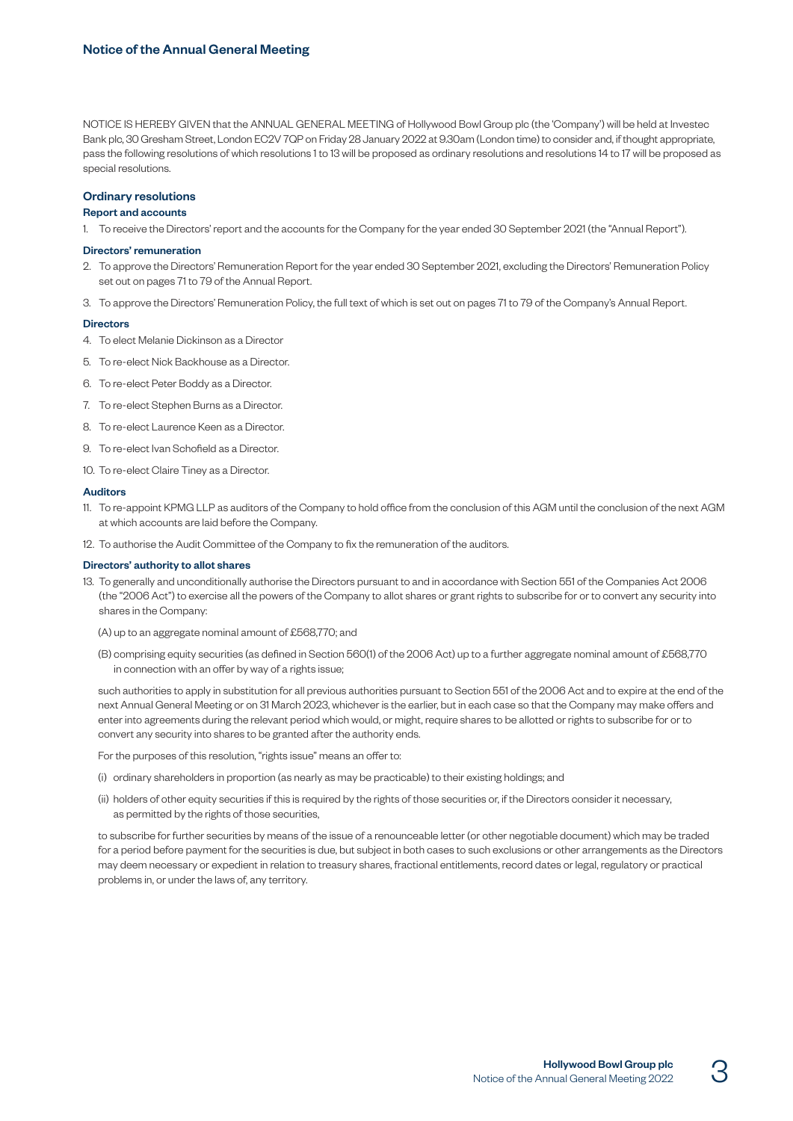NOTICE IS HEREBY GIVEN that the ANNUAL GENERAL MEETING of Hollywood Bowl Group plc (the 'Company') will be held at Investec Bank plc, 30 Gresham Street, London EC2V 7QP on Friday 28 January 2022 at 9.30am (London time) to consider and, if thought appropriate, pass the following resolutions of which resolutions 1 to 13 will be proposed as ordinary resolutions and resolutions 14 to 17 will be proposed as special resolutions.

## Ordinary resolutions

#### Report and accounts

1. To receive the Directors' report and the accounts for the Company for the year ended 30 September 2021 (the "Annual Report").

#### Directors' remuneration

- 2. To approve the Directors' Remuneration Report for the year ended 30 September 2021, excluding the Directors' Remuneration Policy set out on pages 71 to 79 of the Annual Report.
- 3. To approve the Directors' Remuneration Policy, the full text of which is set out on pages 71 to 79 of the Company's Annual Report.

#### **Directors**

- 4. To elect Melanie Dickinson as a Director
- 5. To re-elect Nick Backhouse as a Director.
- 6. To re-elect Peter Boddy as a Director.
- 7. To re-elect Stephen Burns as a Director.
- 8. To re-elect Laurence Keen as a Director.
- 9. To re-elect Ivan Schofield as a Director.
- 10. To re-elect Claire Tiney as a Director.

#### Auditors

- 11. To re-appoint KPMG LLP as auditors of the Company to hold office from the conclusion of this AGM until the conclusion of the next AGM at which accounts are laid before the Company.
- 12. To authorise the Audit Committee of the Company to fix the remuneration of the auditors.

#### Directors' authority to allot shares

- 13. To generally and unconditionally authorise the Directors pursuant to and in accordance with Section 551 of the Companies Act 2006 (the "2006 Act") to exercise all the powers of the Company to allot shares or grant rights to subscribe for or to convert any security into shares in the Company:
	- (A) up to an aggregate nominal amount of £568,770; and
	- (B) comprising equity securities (as defined in Section 560(1) of the 2006 Act) up to a further aggregate nominal amount of £568,770 in connection with an offer by way of a rights issue;

 such authorities to apply in substitution for all previous authorities pursuant to Section 551 of the 2006 Act and to expire at the end of the next Annual General Meeting or on 31 March 2023, whichever is the earlier, but in each case so that the Company may make offers and enter into agreements during the relevant period which would, or might, require shares to be allotted or rights to subscribe for or to convert any security into shares to be granted after the authority ends.

For the purposes of this resolution, "rights issue" means an offer to:

- (i) ordinary shareholders in proportion (as nearly as may be practicable) to their existing holdings; and
- (ii) holders of other equity securities if this is required by the rights of those securities or, if the Directors consider it necessary, as permitted by the rights of those securities,

 to subscribe for further securities by means of the issue of a renounceable letter (or other negotiable document) which may be traded for a period before payment for the securities is due, but subject in both cases to such exclusions or other arrangements as the Directors may deem necessary or expedient in relation to treasury shares, fractional entitlements, record dates or legal, regulatory or practical problems in, or under the laws of, any territory.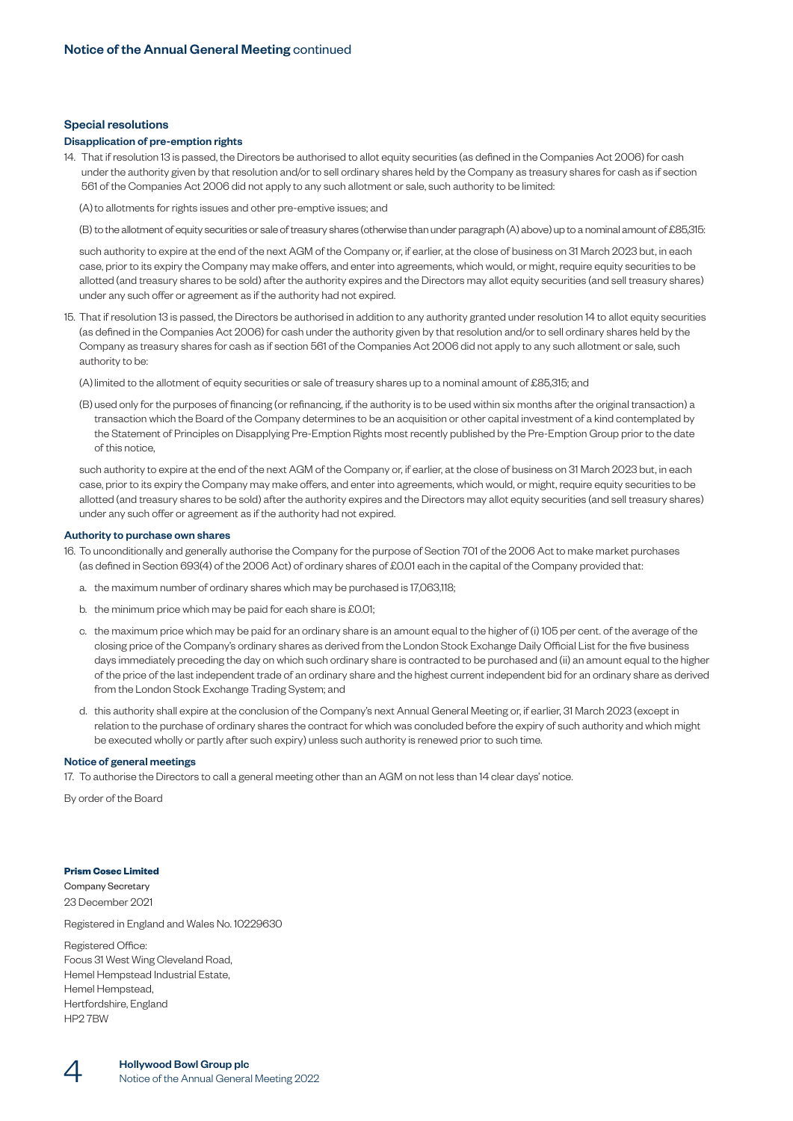#### Special resolutions

#### Disapplication of pre-emption rights

14. That if resolution 13 is passed, the Directors be authorised to allot equity securities (as defined in the Companies Act 2006) for cash under the authority given by that resolution and/or to sell ordinary shares held by the Company as treasury shares for cash as if section 561 of the Companies Act 2006 did not apply to any such allotment or sale, such authority to be limited:

(A) to allotments for rights issues and other pre-emptive issues; and

(B) to the allotment of equity securities or sale of treasury shares (otherwise than under paragraph (A) above) up to a nominal amount of £85,315:

 such authority to expire at the end of the next AGM of the Company or, if earlier, at the close of business on 31 March 2023 but, in each case, prior to its expiry the Company may make offers, and enter into agreements, which would, or might, require equity securities to be allotted (and treasury shares to be sold) after the authority expires and the Directors may allot equity securities (and sell treasury shares) under any such offer or agreement as if the authority had not expired.

15. That if resolution 13 is passed, the Directors be authorised in addition to any authority granted under resolution 14 to allot equity securities (as defined in the Companies Act 2006) for cash under the authority given by that resolution and/or to sell ordinary shares held by the Company as treasury shares for cash as if section 561 of the Companies Act 2006 did not apply to any such allotment or sale, such authority to be:

(A) limited to the allotment of equity securities or sale of treasury shares up to a nominal amount of £85,315; and

(B) used only for the purposes of financing (or refinancing, if the authority is to be used within six months after the original transaction) a transaction which the Board of the Company determines to be an acquisition or other capital investment of a kind contemplated by the Statement of Principles on Disapplying Pre-Emption Rights most recently published by the Pre-Emption Group prior to the date of this notice,

 such authority to expire at the end of the next AGM of the Company or, if earlier, at the close of business on 31 March 2023 but, in each case, prior to its expiry the Company may make offers, and enter into agreements, which would, or might, require equity securities to be allotted (and treasury shares to be sold) after the authority expires and the Directors may allot equity securities (and sell treasury shares) under any such offer or agreement as if the authority had not expired.

#### Authority to purchase own shares

- 16. To unconditionally and generally authorise the Company for the purpose of Section 701 of the 2006 Act to make market purchases (as defined in Section 693(4) of the 2006 Act) of ordinary shares of £0.01 each in the capital of the Company provided that:
	- a. the maximum number of ordinary shares which may be purchased is 17,063,118;
	- b. the minimum price which may be paid for each share is £0.01;
	- c. the maximum price which may be paid for an ordinary share is an amount equal to the higher of (i) 105 per cent. of the average of the closing price of the Company's ordinary shares as derived from the London Stock Exchange Daily Official List for the five business days immediately preceding the day on which such ordinary share is contracted to be purchased and (ii) an amount equal to the higher of the price of the last independent trade of an ordinary share and the highest current independent bid for an ordinary share as derived from the London Stock Exchange Trading System; and
	- d. this authority shall expire at the conclusion of the Company's next Annual General Meeting or, if earlier, 31 March 2023 (except in relation to the purchase of ordinary shares the contract for which was concluded before the expiry of such authority and which might be executed wholly or partly after such expiry) unless such authority is renewed prior to such time.

#### Notice of general meetings

17. To authorise the Directors to call a general meeting other than an AGM on not less than 14 clear days' notice.

By order of the Board

### **Prism Cosec Limited**

Company Secretary 23 December 2021

Registered in England and Wales No. 10229630

Registered Office: Focus 31 West Wing Cleveland Road, Hemel Hempstead Industrial Estate, Hemel Hempstead, Hertfordshire, England HP2 7BW

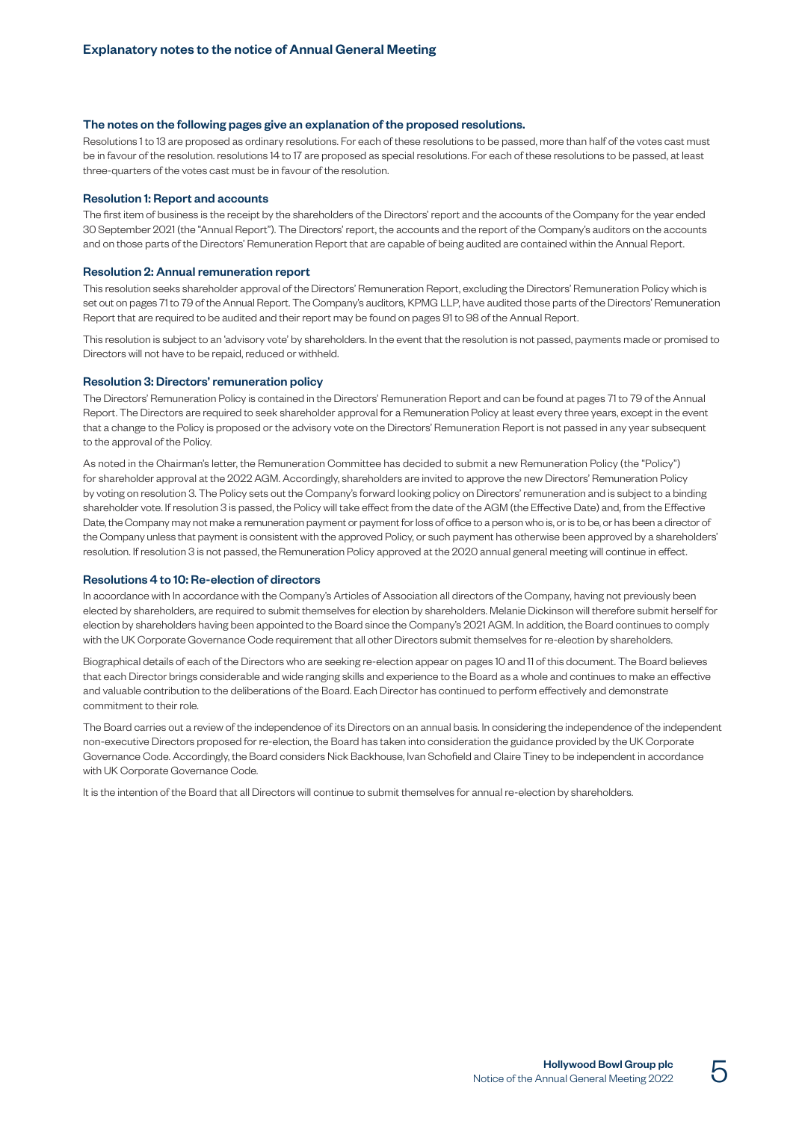#### The notes on the following pages give an explanation of the proposed resolutions.

Resolutions 1 to 13 are proposed as ordinary resolutions. For each of these resolutions to be passed, more than half of the votes cast must be in favour of the resolution. resolutions 14 to 17 are proposed as special resolutions. For each of these resolutions to be passed, at least three-quarters of the votes cast must be in favour of the resolution.

#### Resolution 1: Report and accounts

The first item of business is the receipt by the shareholders of the Directors' report and the accounts of the Company for the year ended 30 September 2021 (the "Annual Report"). The Directors' report, the accounts and the report of the Company's auditors on the accounts and on those parts of the Directors' Remuneration Report that are capable of being audited are contained within the Annual Report.

#### Resolution 2: Annual remuneration report

This resolution seeks shareholder approval of the Directors' Remuneration Report, excluding the Directors' Remuneration Policy which is set out on pages 71 to 79 of the Annual Report. The Company's auditors, KPMG LLP, have audited those parts of the Directors' Remuneration Report that are required to be audited and their report may be found on pages 91 to 98 of the Annual Report.

This resolution is subject to an 'advisory vote' by shareholders. In the event that the resolution is not passed, payments made or promised to Directors will not have to be repaid, reduced or withheld.

#### Resolution 3: Directors' remuneration policy

The Directors' Remuneration Policy is contained in the Directors' Remuneration Report and can be found at pages 71 to 79 of the Annual Report. The Directors are required to seek shareholder approval for a Remuneration Policy at least every three years, except in the event that a change to the Policy is proposed or the advisory vote on the Directors' Remuneration Report is not passed in any year subsequent to the approval of the Policy.

As noted in the Chairman's letter, the Remuneration Committee has decided to submit a new Remuneration Policy (the "Policy") for shareholder approval at the 2022 AGM. Accordingly, shareholders are invited to approve the new Directors' Remuneration Policy by voting on resolution 3. The Policy sets out the Company's forward looking policy on Directors' remuneration and is subject to a binding shareholder vote. If resolution 3 is passed, the Policy will take effect from the date of the AGM (the Effective Date) and, from the Effective Date, the Company may not make a remuneration payment or payment for loss of office to a person who is, or is to be, or has been a director of theCompany unless that payment is consistent with the approved Policy, or such payment has otherwise been approved by a shareholders' resolution. If resolution 3 is not passed, the Remuneration Policy approved at the 2020 annual general meeting will continue in effect.

#### Resolutions 4 to 10: Re-election of directors

In accordance with In accordance with the Company's Articles of Association all directors of the Company, having not previously been elected by shareholders, are required to submit themselves for election by shareholders. Melanie Dickinson will therefore submit herself for election by shareholders having been appointed to the Board since the Company's 2021 AGM. In addition, the Board continues to comply with the UK Corporate Governance Code requirement that all other Directors submit themselves for re-election by shareholders.

Biographical details of each of the Directors who are seeking re-election appear on pages 10 and 11 of this document. The Board believes that each Director brings considerable and wide ranging skills and experience to the Board as a whole and continues to make an effective and valuable contribution to the deliberations of the Board. Each Director has continued to perform effectively and demonstrate commitment to their role.

The Board carries out a review of the independence of its Directors on an annual basis. In considering the independence of the independent non-executive Directors proposed for re-election, the Board has taken into consideration the guidance provided by the UK Corporate Governance Code. Accordingly, the Board considers Nick Backhouse, Ivan Schofield and Claire Tiney to be independent in accordance with UK Corporate Governance Code.

It is the intention of the Board that all Directors will continue to submit themselves for annual re-election by shareholders.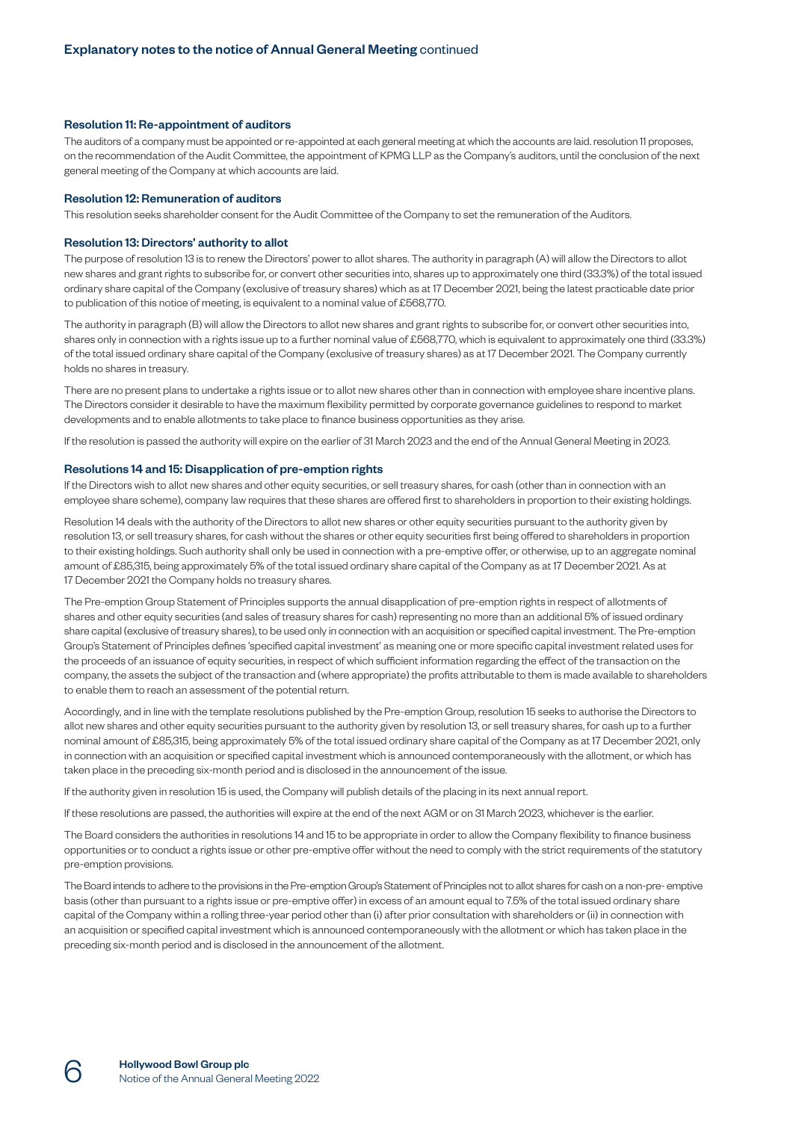#### Resolution 11: Re-appointment of auditors

The auditors of a company must be appointed or re-appointed at each general meeting at which the accounts are laid. resolution 11 proposes, on the recommendation of the Audit Committee, the appointment of KPMG LLP as the Company's auditors, until the conclusion of the next general meeting of the Company at which accounts are laid.

#### Resolution 12: Remuneration of auditors

This resolution seeks shareholder consent for the Audit Committee of the Company to set the remuneration of the Auditors.

#### Resolution 13: Directors' authority to allot

The purpose of resolution 13 is to renew the Directors' power to allot shares. The authority in paragraph (A) will allow the Directors to allot new shares and grant rights to subscribe for, or convert other securities into, shares up to approximately one third (33.3%) of the total issued ordinary share capital of the Company (exclusive of treasury shares) which as at 17 December 2021, being the latest practicable date prior to publication of this notice of meeting, is equivalent to a nominal value of £568,770.

The authority in paragraph (B) will allow the Directors to allot new shares and grant rights to subscribe for, or convert other securities into, shares only in connection with a rights issue up to a further nominal value of £568,770, which is equivalent to approximately one third (33.3%) of the total issued ordinary share capital of the Company (exclusive of treasury shares) as at 17 December 2021. The Company currently holds no shares in treasury.

There are no present plans to undertake a rights issue or to allot new shares other than in connection with employee share incentive plans. The Directors consider it desirable to have the maximum flexibility permitted by corporate governance guidelines to respond to market developments and to enable allotments to take place to finance business opportunities as they arise.

If the resolution is passed the authority will expire on the earlier of 31 March 2023 and the end of the Annual General Meeting in 2023.

#### Resolutions 14 and 15: Disapplication of pre-emption rights

If the Directors wish to allot new shares and other equity securities, or sell treasury shares, for cash (other than in connection with an employee share scheme), company law requires that these shares are offered first to shareholders in proportion to their existing holdings.

Resolution 14 deals with the authority of the Directors to allot new shares or other equity securities pursuant to the authority given by resolution 13, or sell treasury shares, for cash without the shares or other equity securities first being offered to shareholders in proportion to their existing holdings. Such authority shall only be used in connection with a pre-emptive offer, or otherwise, up to an aggregate nominal amount of £85,315, being approximately 5% of the total issued ordinary share capital of the Company as at 17 December 2021. As at 17 December 2021 the Company holds no treasury shares.

The Pre-emption Group Statement of Principles supports the annual disapplication of pre-emption rights in respect of allotments of shares and other equity securities (and sales of treasury shares for cash) representing no more than an additional 5% of issued ordinary share capital (exclusive of treasury shares), to be used only in connection with an acquisition or specified capital investment. The Pre-emption Group's Statement of Principles defines 'specified capital investment' as meaning one or more specific capital investment related uses for the proceeds of an issuance of equity securities, in respect of which sufficient information regarding the effect of the transaction on the company, the assets the subject of the transaction and (where appropriate) the profits attributable to them is made available to shareholders to enable them to reach an assessment of the potential return.

Accordingly, and in line with the template resolutions published by the Pre-emption Group, resolution 15 seeks to authorise the Directors to allot new shares and other equity securities pursuant to the authority given by resolution 13, or sell treasury shares, for cash up to a further nominal amount of £85,315, being approximately 5% of the total issued ordinary share capital of the Company as at 17 December 2021, only in connection with an acquisition or specified capital investment which is announced contemporaneously with the allotment, or which has taken place in the preceding six-month period and is disclosed in the announcement of the issue.

If the authority given in resolution 15 is used, the Company will publish details of the placing in its next annual report.

If these resolutions are passed, the authorities will expire at the end of the next AGM or on 31 March 2023, whichever is the earlier.

The Board considers the authorities in resolutions 14 and 15 to be appropriate in order to allow the Company flexibility to finance business opportunities or to conduct a rights issue or other pre-emptive offer without the need to comply with the strict requirements of the statutory pre-emption provisions.

The Board intends to adhere to the provisions in the Pre-emption Group's Statement of Principles not to allot shares for cash on a non-pre- emptive basis (other than pursuant to a rights issue or pre-emptive offer) in excess of an amount equal to 7.5% of the total issued ordinary share capital of the Company within a rolling three-year period other than (i) after prior consultation with shareholders or (ii) in connection with an acquisition or specified capital investment which is announced contemporaneously with the allotment or which has taken place in the preceding six-month period and is disclosed in the announcement of the allotment.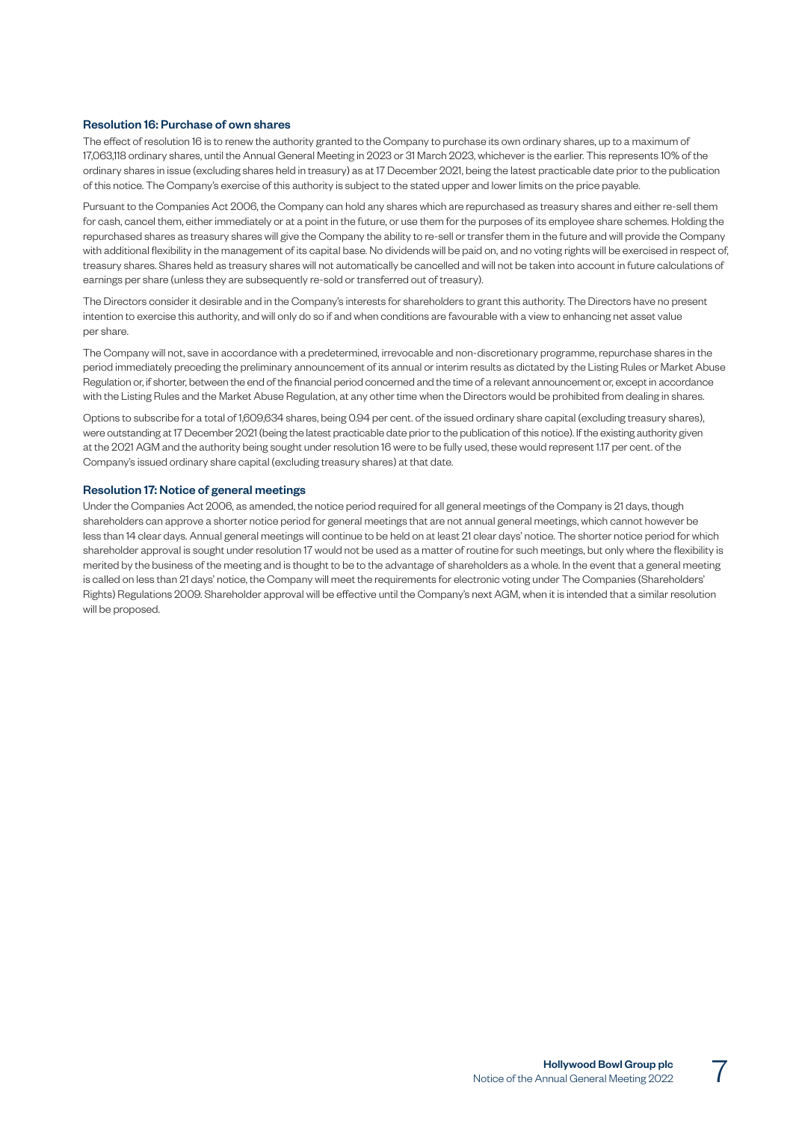### Resolution 16: Purchase of own shares

The effect of resolution 16 is to renew the authority granted to the Company to purchase its own ordinary shares, up to a maximum of 17,063,118 ordinary shares, until the Annual General Meeting in 2023 or 31 March 2023, whichever is the earlier. This represents 10% of the ordinary shares in issue (excluding shares held in treasury) as at 17 December 2021, being the latest practicable date prior to the publication of this notice. The Company's exercise of this authority is subject to the stated upper and lower limits on the price payable.

Pursuant to the Companies Act 2006, the Company can hold any shares which are repurchased as treasury shares and either re-sell them for cash, cancel them, either immediately or at a point in the future, or use them for the purposes of its employee share schemes. Holding the repurchased shares as treasury shares will give the Company the ability to re-sell or transfer them in the future and will provide the Company with additional flexibility in the management of its capital base. No dividends will be paid on, and no voting rights will be exercised in respect of, treasury shares. Shares held as treasury shares will not automatically be cancelled and will not be taken into account in future calculations of earnings per share (unless they are subsequently re-sold or transferred out of treasury).

The Directors consider it desirable and in the Company's interests for shareholders to grant this authority. The Directors have no present intention to exercise this authority, and will only do so if and when conditions are favourable with a view to enhancing net asset value per share.

The Company will not, save in accordance with a predetermined, irrevocable and non-discretionary programme, repurchase shares in the period immediately preceding the preliminary announcement of its annual or interim results as dictated by the Listing Rules or Market Abuse Regulation or, if shorter, between the end of the financial period concerned and the time of a relevant announcement or, except in accordance with the Listing Rules and the Market Abuse Regulation, at any other time when the Directors would be prohibited from dealing in shares.

Options to subscribe for a total of 1,609,634 shares, being 0.94 per cent. of the issued ordinary share capital (excluding treasury shares), were outstanding at 17 December 2021 (being the latest practicable date prior to the publication of this notice). If the existing authority given at the 2021 AGM and the authority being sought under resolution 16 were to be fully used, these would represent 1.17 per cent. of the Company's issued ordinary share capital (excluding treasury shares) at that date.

#### Resolution 17: Notice of general meetings

Under the Companies Act 2006, as amended, the notice period required for all general meetings of the Company is 21 days, though shareholders can approve a shorter notice period for general meetings that are not annual general meetings, which cannot however be less than 14 clear days. Annual general meetings will continue to be held on at least 21 clear days' notice. The shorter notice period for which shareholder approval is sought under resolution 17 would not be used as a matter of routine for such meetings, but only where the flexibility is merited by the business of the meeting and is thought to be to the advantage of shareholders as a whole. In the event that a general meeting is called on less than 21 days' notice, the Company will meet the requirements for electronic voting under The Companies (Shareholders' Rights) Regulations 2009. Shareholder approval will be effective until the Company's next AGM, when it is intended that a similar resolution will be proposed.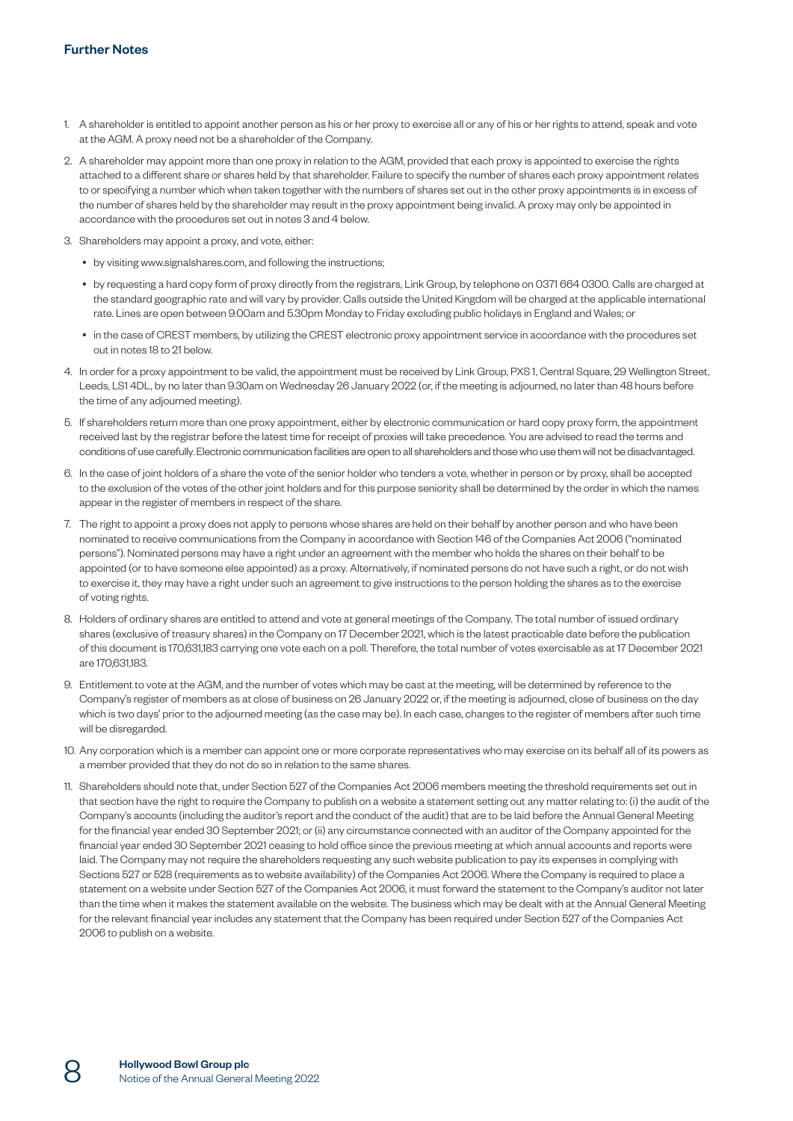- 1. A shareholder is entitled to appoint another person as his or her proxy to exercise all or any of his or her rights to attend, speak and vote at the AGM. A proxy need not be a shareholder of the Company.
- 2. A shareholder may appoint more than one proxy in relation to the AGM, provided that each proxy is appointed to exercise the rights attached to a different share or shares held by that shareholder. Failure to specify the number of shares each proxy appointment relates to or specifying a number which when taken together with the numbers of shares set out in the other proxy appointments is in excess of the number of shares held by the shareholder may result in the proxy appointment being invalid. A proxy may only be appointed in accordance with the procedures set out in notes 3 and 4 below.
- 3. Shareholders may appoint a proxy, and vote, either:
	- by visiting [www.signalshares.com,](http://www.signalshares.com) and following the instructions;
	- by requesting a hard copy form of proxy directly from the registrars, Link Group, by telephone on 0371 664 0300. Calls are charged at the standard geographic rate and will vary by provider. Calls outside the United Kingdom will be charged at the applicable international rate. Lines are open between 9.00am and 5.30pm Monday to Friday excluding public holidays in England and Wales; or
	- in the case of CREST members, by utilizing the CREST electronic proxy appointment service in accordance with the procedures set out in notes 18 to 21 below.
- 4. In order for a proxy appointment to be valid, the appointment must be received by Link Group, PXS 1, Central Square, 29 Wellington Street, Leeds, LS1 4DL, by no later than 9.30am on Wednesday 26 January 2022 (or, if the meeting is adjourned, no later than 48 hours before the time of any adjourned meeting).
- 5. If shareholders return more than one proxy appointment, either by electronic communication or hard copy proxy form, the appointment received last by the registrar before the latest time for receipt of proxies will take precedence. You are advised to read the terms and conditions of use carefully. Electronic communication facilities are open to all shareholders and those who use them will not be disadvantaged.
- 6. In the case of joint holders of a share the vote of the senior holder who tenders a vote, whether in person or by proxy, shall be accepted to the exclusion of the votes of the other joint holders and for this purpose seniority shall be determined by the order in which the names appear in the register of members in respect of the share.
- 7. The right to appoint a proxy does not apply to persons whose shares are held on their behalf by another person and who have been nominated to receive communications from the Company in accordance with Section 146 of the Companies Act 2006 ("nominated persons"). Nominated persons may have a right under an agreement with the member who holds the shares on their behalf to be appointed (or to have someone else appointed) as a proxy. Alternatively, if nominated persons do not have such a right, or do not wish to exercise it, they may have a right under such an agreement to give instructions to the person holding the shares as to the exercise of voting rights.
- 8. Holders of ordinary shares are entitled to attend and vote at general meetings of the Company. The total number of issued ordinary shares (exclusive of treasury shares) in the Company on 17 December 2021, which is the latest practicable date before the publication of this document is 170,631,183 carrying one vote each on a poll. Therefore, the total number of votes exercisable as at 17 December 2021 are 170,631,183.
- 9. Entitlement to vote at the AGM, and the number of votes which may be cast at the meeting, will be determined by reference to the Company's register of members as at close of business on 26 January 2022 or, if the meeting is adjourned, close of business on the day which is two days' prior to the adjourned meeting (as the case may be). In each case, changes to the register of members after such time will be disregarded.
- 10. Any corporation which is a member can appoint one or more corporate representatives who may exercise on its behalf all of its powers as a member provided that they do not do so in relation to the same shares.
- 11. Shareholders should note that, under Section 527 of the Companies Act 2006 members meeting the threshold requirements set out in that section have the right to require the Company to publish on a website a statement setting out any matter relating to: (i) the audit of the Company's accounts (including the auditor's report and the conduct of the audit) that are to be laid before the Annual General Meeting for the financial year ended 30 September 2021; or (ii) any circumstance connected with an auditor of the Company appointed for the financial year ended 30 September 2021 ceasing to hold office since the previous meeting at which annual accounts and reports were laid. The Company may not require the shareholders requesting any such website publication to pay its expenses in complying with Sections 527 or 528 (requirements as to website availability) of the Companies Act 2006. Where the Company is required to place a statement on a website under Section 527 of the Companies Act 2006, it must forward the statement to the Company's auditor not later than the time when it makes the statement available on the website. The business which may be dealt with at the Annual General Meeting for the relevant financial year includes any statement that the Company has been required under Section 527 of the Companies Act 2006 to publish on a website.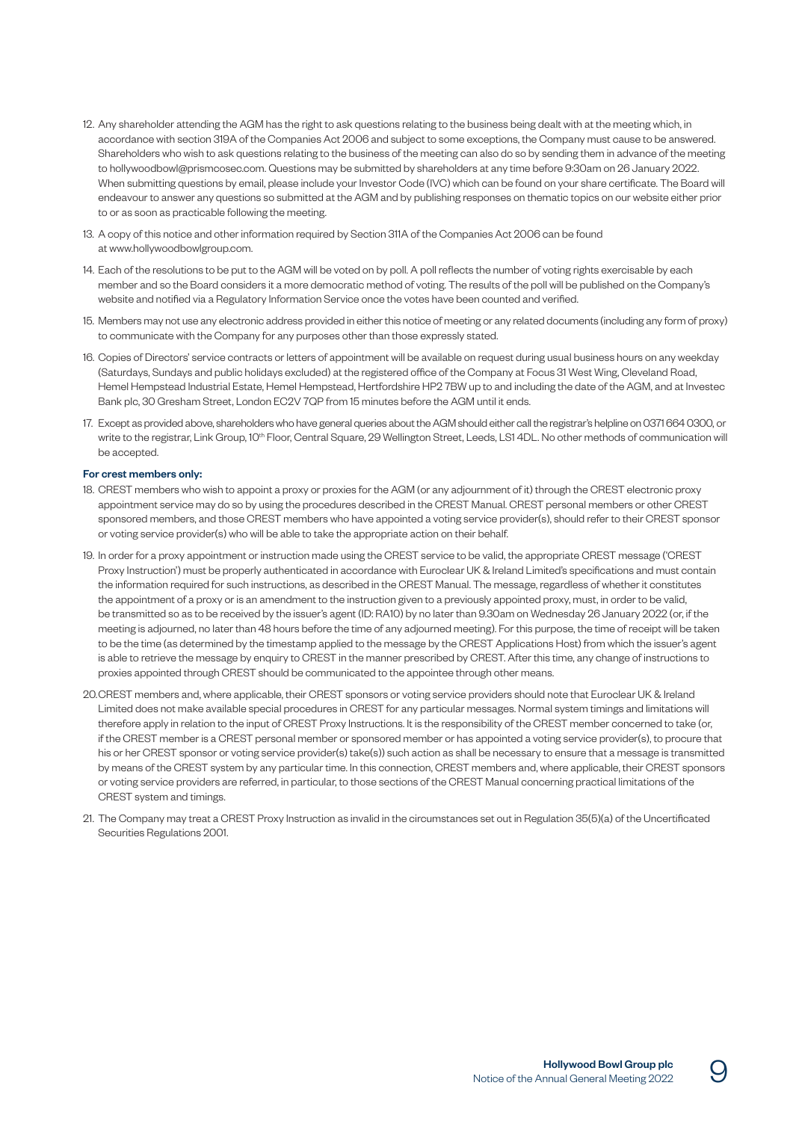- 12. Any shareholder attending the AGM has the right to ask questions relating to the business being dealt with at the meeting which, in accordance with section 319A of the Companies Act 2006 and subject to some exceptions, the Company must cause to be answered. Shareholders who wish to ask questions relating to the business of the meeting can also do so by sending them in advance of the meeting to [hollywoodbowl@prismcosec.com.](mailto:hollywoodbowl@prismcosec.com) Questions may be submitted by shareholders at any time before 9:30am on 26 January 2022. When submitting questions by email, please include your Investor Code (IVC) which can be found on your share certificate. The Board will endeavour to answer any questions so submitted at the AGM and by publishing responses on thematic topics on our website either prior to or as soon as practicable following the meeting.
- 13. A copy of this notice and other information required by Section 311A of the Companies Act 2006 can be found at [www.hollywoodbowlgroup.com.](http://www.hollywoodbowlgroup.com)
- 14. Each of the resolutions to be put to the AGM will be voted on by poll. A poll reflects the number of voting rights exercisable by each member and so the Board considers it a more democratic method of voting. The results of the poll will be published on the Company's website and notified via a Regulatory Information Service once the votes have been counted and verified.
- 15. Members may not use any electronic address provided in either this notice of meeting or any related documents (including any form of proxy) to communicate with the Company for any purposes other than those expressly stated.
- 16. Copies of Directors' service contracts or letters of appointment will be available on request during usual business hours on any weekday (Saturdays, Sundays and public holidays excluded) at the registered office of the Company at Focus 31 West Wing, Cleveland Road, Hemel Hempstead Industrial Estate, Hemel Hempstead, Hertfordshire HP2 7BW up to and including the date of the AGM, and at Investec Bank plc, 30 Gresham Street, London EC2V 7QP from 15 minutes before the AGM until it ends.
- 17. Except as provided above, shareholders who have general queries about the AGM should either call the registrar's helpline on 0371 664 0300, or write to the registrar, Link Group, 10<sup>th</sup> Floor, Central Square, 29 Wellington Street, Leeds, LS1 4DL. No other methods of communication will be accepted.

#### For crest members only:

- 18. CREST members who wish to appoint a proxy or proxies for the AGM (or any adjournment of it) through the CREST electronic proxy appointment service may do so by using the procedures described in the CREST Manual. CREST personal members or other CREST sponsored members, and those CREST members who have appointed a voting service provider(s), should refer to their CREST sponsor or voting service provider(s) who will be able to take the appropriate action on their behalf.
- 19. In order for a proxy appointment or instruction made using the CREST service to be valid, the appropriate CREST message ('CREST Proxy Instruction') must be properly authenticated in accordance with Euroclear UK & Ireland Limited's specifications and must contain the information required for such instructions, as described in the CREST Manual. The message, regardless of whether it constitutes the appointment of a proxy or is an amendment to the instruction given to a previously appointed proxy, must, in order to be valid, be transmitted so as to be received by the issuer's agent (ID: RA10) by no later than 9.30am on Wednesday 26 January 2022 (or, if the meeting is adjourned, no later than 48 hours before the time of any adjourned meeting). For this purpose, the time of receipt will be taken to be the time (as determined by the timestamp applied to the message by the CREST Applications Host) from which the issuer's agent is able to retrieve the message by enquiry to CREST in the manner prescribed by CREST. After this time, any change of instructions to proxies appointed through CREST should be communicated to the appointee through other means.
- 20. CREST members and, where applicable, their CREST sponsors or voting service providers should note that Euroclear UK & Ireland Limited does not make available special procedures in CREST for any particular messages. Normal system timings and limitations will therefore apply in relation to the input of CREST Proxy Instructions. It is the responsibility of the CREST member concerned to take (or, if the CREST member is a CREST personal member or sponsored member or has appointed a voting service provider(s), to procure that his or her CREST sponsor or voting service provider(s) take(s)) such action as shall be necessary to ensure that a message is transmitted by means of the CREST system by any particular time. In this connection, CREST members and, where applicable, their CREST sponsors or voting service providers are referred, in particular, to those sections of the CREST Manual concerning practical limitations of the CREST system and timings.
- 21. The Company may treat a CREST Proxy Instruction as invalid in the circumstances set out in Regulation 35(5)(a) of the Uncertificated Securities Regulations 2001.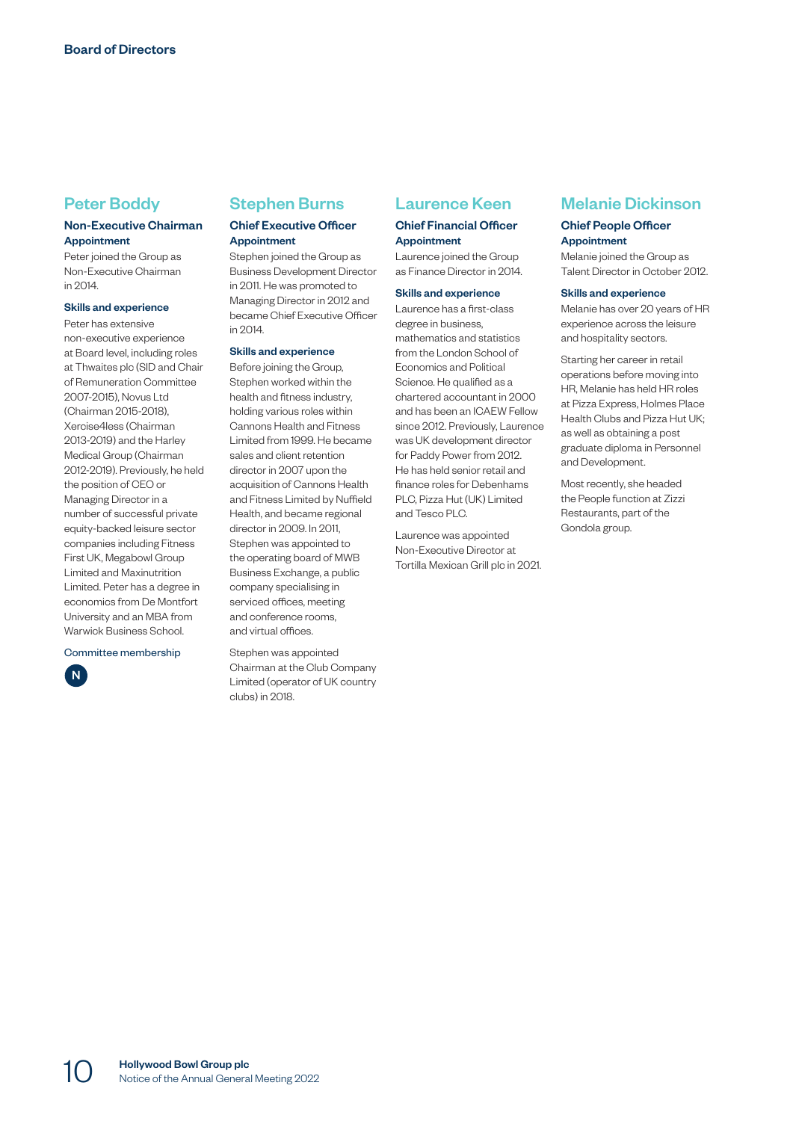## Peter Boddy

## Non-Executive Chairman Appointment

Peter joined the Group as Non-Executive Chairman in 2014.

#### Skills and experience

Peter has extensive non-executive experience at Board level, including roles at Thwaites plc (SID and Chair of Remuneration Committee 2007-2015), Novus Ltd (Chairman 2015-2018), Xercise4less (Chairman 2013-2019) and the Harley Medical Group (Chairman 2012-2019). Previously, he held the position of CEO or Managing Director in a number of successful private equity-backed leisure sector companies including Fitness First UK, Megabowl Group Limited and Maxinutrition Limited. Peter has a degree in economics from De Montfort University and an MBA from Warwick Business School.

Committee membership

# N

## Stephen Burns

## Chief Executive Officer Appointment

Stephen joined the Group as Business Development Director in 2011. He was promoted to Managing Director in 2012 and became Chief Executive Officer in 2014.

#### Skills and experience

Before joining the Group, Stephen worked within the health and fitness industry, holding various roles within Cannons Health and Fitness Limited from 1999. He became sales and client retention director in 2007 upon the acquisition of Cannons Health and Fitness Limited by Nuffield Health, and became regional director in 2009. In 2011, Stephen was appointed to the operating board of MWB Business Exchange, a public company specialising in serviced offices, meeting and conference rooms, and virtual offices.

Stephen was appointed Chairman at the Club Company Limited (operator of UK country clubs) in 2018.

## Laurence Keen

## Chief Financial Officer Appointment

Laurence joined the Group as Finance Director in 2014.

#### Skills and experience

Laurence has a first-class degree in business, mathematics and statistics from the London School of Economics and Political Science. He qualified as a chartered accountant in 2000 and has been an ICAEW Fellow since 2012. Previously, Laurence was UK development director for Paddy Power from 2012. He has held senior retail and finance roles for Debenhams PLC, Pizza Hut (UK) Limited and Tesco PLC.

Laurence was appointed Non-Executive Director at Tortilla Mexican Grill plc in 2021.

## Melanie Dickinson

### Chief People Officer Appointment

Melanie joined the Group as Talent Director in October 2012.

#### Skills and experience

Melanie has over 20 years of HR experience across the leisure and hospitality sectors.

Starting her career in retail operations before moving into HR, Melanie has held HR roles at Pizza Express, Holmes Place Health Clubs and Pizza Hut UK; as well as obtaining a post graduate diploma in Personnel and Development.

Most recently, she headed the People function at Zizzi Restaurants, part of the Gondola group.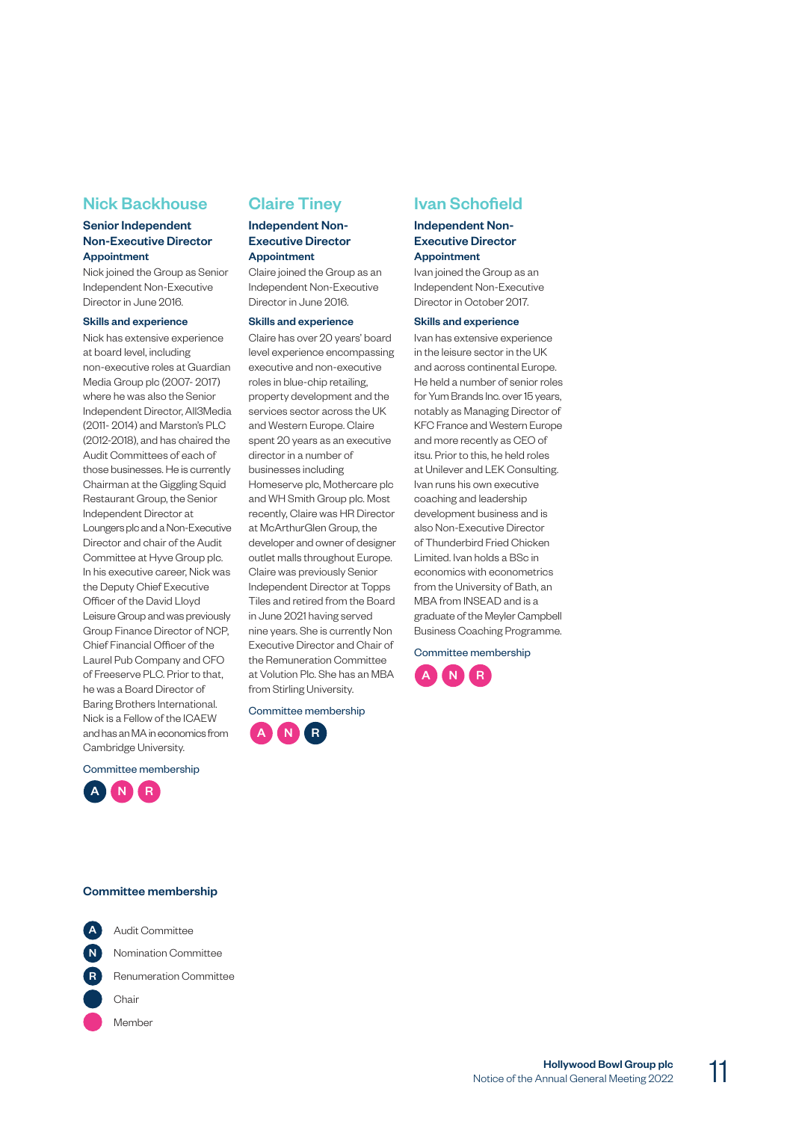## Nick Backhouse

## Senior Independent Non-Executive Director Appointment

Nick joined the Group as Senior Independent Non-Executive Director in June 2016.

#### Skills and experience

Nick has extensive experience at board level, including non-executive roles at Guardian Media Group plc (2007- 2017) where he was also the Senior Independent Director, All3Media (2011- 2014) and Marston's PLC (2012-2018), and has chaired the Audit Committees of each of those businesses. He is currently Chairman at the Giggling Squid Restaurant Group, the Senior Independent Director at Loungers plc and a Non-Executive Director and chair of the Audit Committee at Hyve Group plc. In his executive career, Nick was the Deputy Chief Executive Officer of the David Lloyd Leisure Group and was previously Group Finance Director of NCP, Chief Financial Officer of the Laurel Pub Company and CFO of Freeserve PLC. Prior to that, he was a Board Director of Baring Brothers International. Nick is a Fellow of the ICAEW and has an MA in economics from Cambridge University.

Committee membership



## Claire Tiney

### Independent Non-Executive Director Appointment

Claire joined the Group as an Independent Non-Executive Director in June 2016.

#### Skills and experience

Claire has over 20 years' board level experience encompassing executive and non-executive roles in blue-chip retailing, property development and the services sector across the UK and Western Europe. Claire spent 20 years as an executive director in a number of businesses including Homeserve plc, Mothercare plc and WH Smith Group plc. Most recently, Claire was HR Director at McArthurGlen Group, the developer and owner of designer outlet malls throughout Europe. Claire was previously Senior Independent Director at Topps Tiles and retired from the Board in June 2021 having served nine years. She is currently Non Executive Director and Chair of the Remuneration Committee at Volution Plc. She has an MBA from Stirling University.

Committee membership



## Ivan Schofield

### Independent Non-Executive Director Appointment

Ivan joined the Group as an Independent Non-Executive Director in October 2017.

#### Skills and experience

Ivan has extensive experience in the leisure sector in the UK and across continental Europe. He held a number of senior roles for Yum Brands Inc. over 15 years, notably as Managing Director of KFC France and Western Europe and more recently as CEO of itsu. Prior to this, he held roles at Unilever and LEK Consulting. Ivan runs his own executive coaching and leadership development business and is also Non-Executive Director of Thunderbird Fried Chicken Limited. Ivan holds a BSc in economics with econometrics from the University of Bath, an MBA from INSEAD and is a graduate of the Meyler Campbell Business Coaching Programme.

Committee membership



## Committee membership

| A Audit Committee        |
|--------------------------|
| Nomination Committee     |
| R Renumeration Committee |
| Chair                    |
| Member                   |